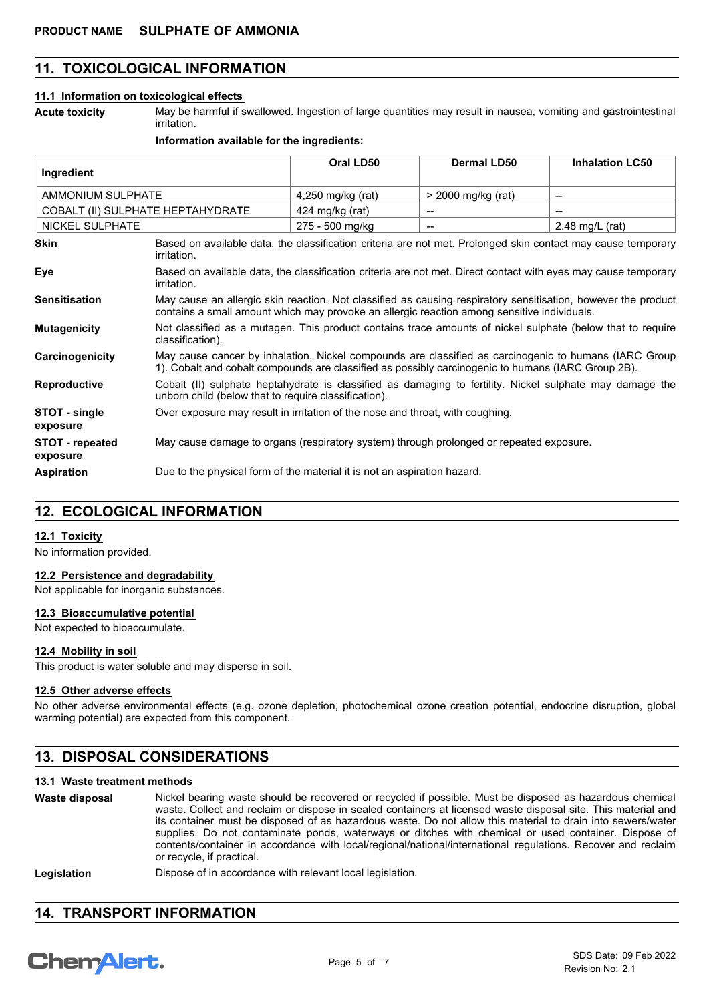### **11. TOXICOLOGICAL INFORMATION**

#### **11.1 Information on toxicological effects**

**Acute toxicity**

May be harmful if swallowed. Ingestion of large quantities may result in nausea, vomiting and gastrointestinal irritation.

#### **Information available for the ingredients:**

| Ingredient                         |                                                                                                                                                                                                              | Oral LD50         | <b>Dermal LD50</b> | <b>Inhalation LC50</b>   |
|------------------------------------|--------------------------------------------------------------------------------------------------------------------------------------------------------------------------------------------------------------|-------------------|--------------------|--------------------------|
| AMMONIUM SULPHATE                  |                                                                                                                                                                                                              | 4,250 mg/kg (rat) | > 2000 mg/kg (rat) | $\overline{\phantom{a}}$ |
| COBALT (II) SULPHATE HEPTAHYDRATE  |                                                                                                                                                                                                              | 424 mg/kg (rat)   |                    |                          |
| NICKEL SULPHATE                    |                                                                                                                                                                                                              | 275 - 500 mg/kg   | --                 | 2.48 mg/L $(rat)$        |
| Skin                               | Based on available data, the classification criteria are not met. Prolonged skin contact may cause temporary<br>irritation.                                                                                  |                   |                    |                          |
| Eye                                | Based on available data, the classification criteria are not met. Direct contact with eyes may cause temporary<br>irritation.                                                                                |                   |                    |                          |
| <b>Sensitisation</b>               | May cause an allergic skin reaction. Not classified as causing respiratory sensitisation, however the product<br>contains a small amount which may provoke an allergic reaction among sensitive individuals. |                   |                    |                          |
| <b>Mutagenicity</b>                | Not classified as a mutagen. This product contains trace amounts of nickel sulphate (below that to require<br>classification).                                                                               |                   |                    |                          |
| Carcinogenicity                    | May cause cancer by inhalation. Nickel compounds are classified as carcinogenic to humans (IARC Group<br>1). Cobalt and cobalt compounds are classified as possibly carcinogenic to humans (IARC Group 2B).  |                   |                    |                          |
| <b>Reproductive</b>                | Cobalt (II) sulphate heptahydrate is classified as damaging to fertility. Nickel sulphate may damage the<br>unborn child (below that to require classification).                                             |                   |                    |                          |
| STOT - single<br>exposure          | Over exposure may result in irritation of the nose and throat, with coughing.                                                                                                                                |                   |                    |                          |
| <b>STOT</b> - repeated<br>exposure | May cause damage to organs (respiratory system) through prolonged or repeated exposure.                                                                                                                      |                   |                    |                          |
| <b>Aspiration</b>                  | Due to the physical form of the material it is not an aspiration hazard.                                                                                                                                     |                   |                    |                          |

### **12. ECOLOGICAL INFORMATION**

### **12.1 Toxicity**

No information provided.

### **12.2 Persistence and degradability**

Not applicable for inorganic substances.

### **12.3 Bioaccumulative potential**

Not expected to bioaccumulate.

### **12.4 Mobility in soil**

This product is water soluble and may disperse in soil.

#### **12.5 Other adverse effects**

No other adverse environmental effects (e.g. ozone depletion, photochemical ozone creation potential, endocrine disruption, global warming potential) are expected from this component.

## **13. DISPOSAL CONSIDERATIONS**

### **13.1 Waste treatment methods**

Nickel bearing waste should be recovered or recycled if possible. Must be disposed as hazardous chemical waste. Collect and reclaim or dispose in sealed containers at licensed waste disposal site. This material and its container must be disposed of as hazardous waste. Do not allow this material to drain into sewers/water supplies. Do not contaminate ponds, waterways or ditches with chemical or used container. Dispose of contents/container in accordance with local/regional/national/international regulations. Recover and reclaim or recycle, if practical. **Waste disposal**

| Legislation | Dispose of in accordance with relevant local legislation. |  |
|-------------|-----------------------------------------------------------|--|
|-------------|-----------------------------------------------------------|--|

## **14. TRANSPORT INFORMATION**

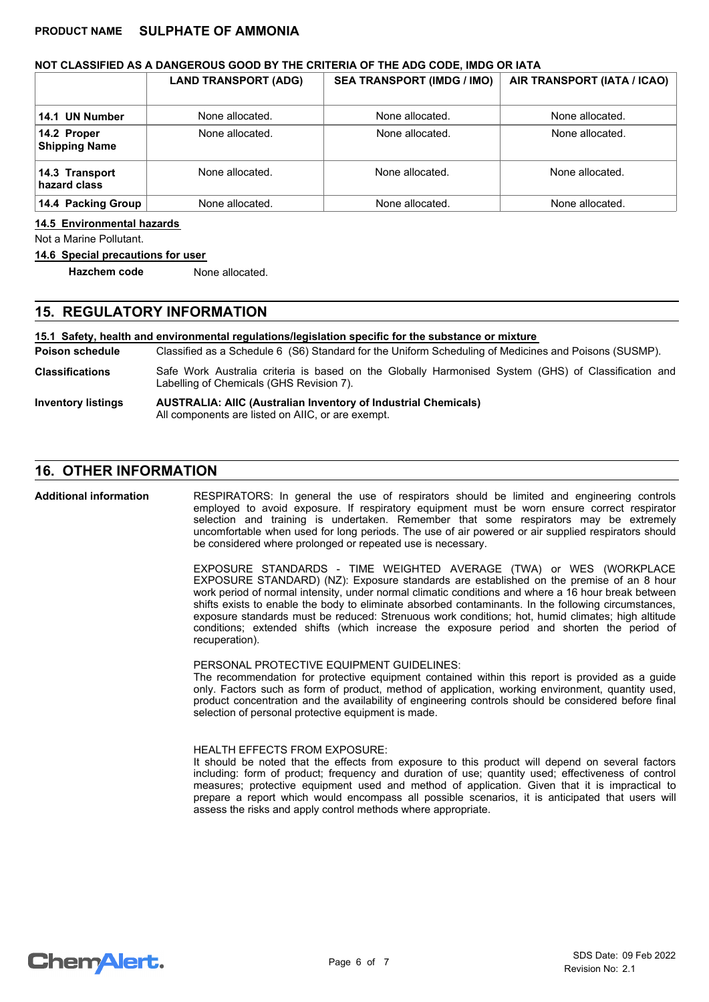### **NOT CLASSIFIED AS A DANGEROUS GOOD BY THE CRITERIA OF THE ADG CODE, IMDG OR IATA**

|                                     | <b>LAND TRANSPORT (ADG)</b> | <b>SEA TRANSPORT (IMDG / IMO)</b> | AIR TRANSPORT (IATA / ICAO) |
|-------------------------------------|-----------------------------|-----------------------------------|-----------------------------|
| 14.1 UN Number                      | None allocated.             | None allocated.                   | None allocated.             |
| 14.2 Proper<br><b>Shipping Name</b> | None allocated.             | None allocated.                   | None allocated.             |
| 14.3 Transport<br>hazard class      | None allocated.             | None allocated.                   | None allocated.             |
| 14.4 Packing Group                  | None allocated.             | None allocated.                   | None allocated.             |

### **14.5 Environmental hazards**

Not a Marine Pollutant.

### **14.6 Special precautions for user**

**Hazchem code** None allocated.

# **15. REGULATORY INFORMATION**

### **15.1 Safety, health and environmental regulations/legislation specific for the substance or mixture**

Classified as a Schedule 6 (S6) Standard for the Uniform Scheduling of Medicines and Poisons (SUSMP). **Poison schedule**

- Safe Work Australia criteria is based on the Globally Harmonised System (GHS) of Classification and Labelling of Chemicals (GHS Revision 7). **Classifications**
- **AUSTRALIA: AIIC (Australian Inventory of Industrial Chemicals)** All components are listed on AIIC, or are exempt. **Inventory listings**

### **16. OTHER INFORMATION**

**Additional information**

RESPIRATORS: In general the use of respirators should be limited and engineering controls employed to avoid exposure. If respiratory equipment must be worn ensure correct respirator selection and training is undertaken. Remember that some respirators may be extremely uncomfortable when used for long periods. The use of air powered or air supplied respirators should be considered where prolonged or repeated use is necessary.

EXPOSURE STANDARDS - TIME WEIGHTED AVERAGE (TWA) or WES (WORKPLACE EXPOSURE STANDARD) (NZ): Exposure standards are established on the premise of an 8 hour work period of normal intensity, under normal climatic conditions and where a 16 hour break between shifts exists to enable the body to eliminate absorbed contaminants. In the following circumstances, exposure standards must be reduced: Strenuous work conditions; hot, humid climates; high altitude conditions; extended shifts (which increase the exposure period and shorten the period of recuperation).

### PERSONAL PROTECTIVE EQUIPMENT GUIDELINES:

The recommendation for protective equipment contained within this report is provided as a guide only. Factors such as form of product, method of application, working environment, quantity used, product concentration and the availability of engineering controls should be considered before final selection of personal protective equipment is made.

### HEALTH EFFECTS FROM EXPOSURE:

It should be noted that the effects from exposure to this product will depend on several factors including: form of product; frequency and duration of use; quantity used; effectiveness of control measures; protective equipment used and method of application. Given that it is impractical to prepare a report which would encompass all possible scenarios, it is anticipated that users will assess the risks and apply control methods where appropriate.